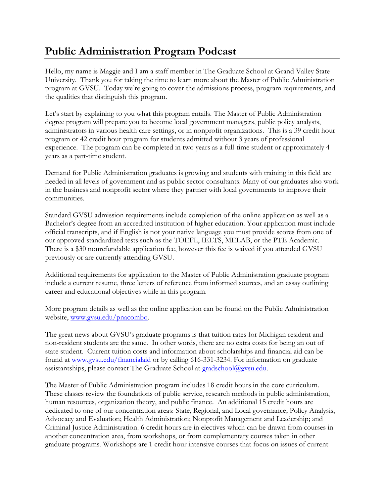## **Public Administration Program Podcast**

Hello, my name is Maggie and I am a staff member in The Graduate School at Grand Valley State University. Thank you for taking the time to learn more about the Master of Public Administration program at GVSU. Today we're going to cover the admissions process, program requirements, and the qualities that distinguish this program.

Let's start by explaining to you what this program entails. The Master of Public Administration degree program will prepare you to become local government managers, public policy analysts, administrators in various health care settings, or in nonprofit organizations. This is a 39 credit hour program or 42 credit hour program for students admitted without 3 years of professional experience. The program can be completed in two years as a full-time student or approximately 4 years as a part-time student.

Demand for Public Administration graduates is growing and students with training in this field are needed in all levels of government and as public sector consultants. Many of our graduates also work in the business and nonprofit sector where they partner with local governments to improve their communities.

Standard GVSU admission requirements include completion of the online application as well as a Bachelor's degree from an accredited institution of higher education. Your application must include official transcripts, and if English is not your native language you must provide scores from one of our approved standardized tests such as the TOEFL, IELTS, MELAB, or the PTE Academic. There is a \$30 nonrefundable application fee, however this fee is waived if you attended GVSU previously or are currently attending GVSU.

Additional requirements for application to the Master of Public Administration graduate program include a current resume, three letters of reference from informed sources, and an essay outlining career and educational objectives while in this program.

More program details as well as the online application can be found on the Public Administration website, [www.gvsu.edu/pnacombo.](http://www.gvsu.edu/pnacombo)

The great news about GVSU's graduate programs is that tuition rates for Michigan resident and non-resident students are the same. In other words, there are no extra costs for being an out of state student. Current tuition costs and information about scholarships and financial aid can be found at [www.gvsu.edu/financialaid](http://www.gvsu.edu/financialaid) or by calling 616-331-3234. For information on graduate assistantships, please contact The Graduate School at [gradschool@gvsu.edu.](mailto:gradschool@gvsu.edu)

The Master of Public Administration program includes 18 credit hours in the core curriculum. These classes review the foundations of public service, research methods in public administration, human resources, organization theory, and public finance. An additional 15 credit hours are dedicated to one of our concentration areas: State, Regional, and Local governance; Policy Analysis, Advocacy and Evaluation; Health Administration; Nonprofit Management and Leadership; and Criminal Justice Administration. 6 credit hours are in electives which can be drawn from courses in another concentration area, from workshops, or from complementary courses taken in other graduate programs. Workshops are 1 credit hour intensive courses that focus on issues of current